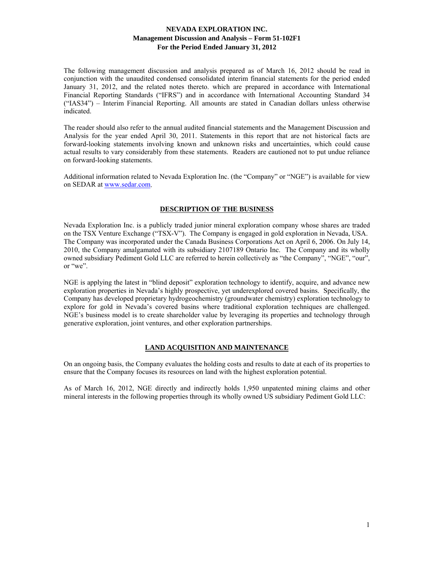The following management discussion and analysis prepared as of March 16, 2012 should be read in conjunction with the unaudited condensed consolidated interim financial statements for the period ended January 31, 2012, and the related notes thereto. which are prepared in accordance with International Financial Reporting Standards ("IFRS") and in accordance with International Accounting Standard 34 ("IAS34") – Interim Financial Reporting. All amounts are stated in Canadian dollars unless otherwise indicated.

The reader should also refer to the annual audited financial statements and the Management Discussion and Analysis for the year ended April 30, 2011. Statements in this report that are not historical facts are forward-looking statements involving known and unknown risks and uncertainties, which could cause actual results to vary considerably from these statements. Readers are cautioned not to put undue reliance on forward-looking statements.

Additional information related to Nevada Exploration Inc. (the "Company" or "NGE") is available for view on SEDAR at www.sedar.com.

## **DESCRIPTION OF THE BUSINESS**

Nevada Exploration Inc. is a publicly traded junior mineral exploration company whose shares are traded on the TSX Venture Exchange ("TSX-V"). The Company is engaged in gold exploration in Nevada, USA. The Company was incorporated under the Canada Business Corporations Act on April 6, 2006. On July 14, 2010, the Company amalgamated with its subsidiary 2107189 Ontario Inc. The Company and its wholly owned subsidiary Pediment Gold LLC are referred to herein collectively as "the Company", "NGE", "our", or "we".

NGE is applying the latest in "blind deposit" exploration technology to identify, acquire, and advance new exploration properties in Nevada's highly prospective, yet underexplored covered basins. Specifically, the Company has developed proprietary hydrogeochemistry (groundwater chemistry) exploration technology to explore for gold in Nevada's covered basins where traditional exploration techniques are challenged. NGE's business model is to create shareholder value by leveraging its properties and technology through generative exploration, joint ventures, and other exploration partnerships.

## **LAND ACQUISITION AND MAINTENANCE**

On an ongoing basis, the Company evaluates the holding costs and results to date at each of its properties to ensure that the Company focuses its resources on land with the highest exploration potential.

As of March 16, 2012, NGE directly and indirectly holds 1,950 unpatented mining claims and other mineral interests in the following properties through its wholly owned US subsidiary Pediment Gold LLC: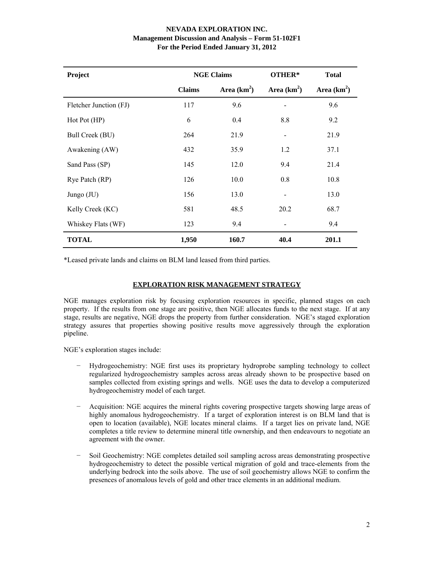| Project                |               | <b>NGE Claims</b> | OTHER*       | <b>Total</b> |
|------------------------|---------------|-------------------|--------------|--------------|
|                        | <b>Claims</b> | Area $(km^2)$     | Area $(km2)$ | Area $(km2)$ |
| Fletcher Junction (FJ) | 117           | 9.6               |              | 9.6          |
| Hot Pot (HP)           | 6             | 0.4               | 8.8          | 9.2          |
| Bull Creek (BU)        | 264           | 21.9              |              | 21.9         |
| Awakening (AW)         | 432           | 35.9              | 1.2          | 37.1         |
| Sand Pass (SP)         | 145           | 12.0              | 9.4          | 21.4         |
| Rye Patch (RP)         | 126           | 10.0              | 0.8          | 10.8         |
| Jungo (JU)             | 156           | 13.0              |              | 13.0         |
| Kelly Creek (KC)       | 581           | 48.5              | 20.2         | 68.7         |
| Whiskey Flats (WF)     | 123           | 9.4               |              | 9.4          |
| <b>TOTAL</b>           | 1,950         | 160.7             | 40.4         | 201.1        |

\*Leased private lands and claims on BLM land leased from third parties.

# **EXPLORATION RISK MANAGEMENT STRATEGY**

NGE manages exploration risk by focusing exploration resources in specific, planned stages on each property. If the results from one stage are positive, then NGE allocates funds to the next stage. If at any stage, results are negative, NGE drops the property from further consideration. NGE's staged exploration strategy assures that properties showing positive results move aggressively through the exploration pipeline.

NGE's exploration stages include:

- − Hydrogeochemistry: NGE first uses its proprietary hydroprobe sampling technology to collect regularized hydrogeochemistry samples across areas already shown to be prospective based on samples collected from existing springs and wells. NGE uses the data to develop a computerized hydrogeochemistry model of each target.
- − Acquisition: NGE acquires the mineral rights covering prospective targets showing large areas of highly anomalous hydrogeochemistry. If a target of exploration interest is on BLM land that is open to location (available), NGE locates mineral claims. If a target lies on private land, NGE completes a title review to determine mineral title ownership, and then endeavours to negotiate an agreement with the owner.
- − Soil Geochemistry: NGE completes detailed soil sampling across areas demonstrating prospective hydrogeochemistry to detect the possible vertical migration of gold and trace-elements from the underlying bedrock into the soils above. The use of soil geochemistry allows NGE to confirm the presences of anomalous levels of gold and other trace elements in an additional medium.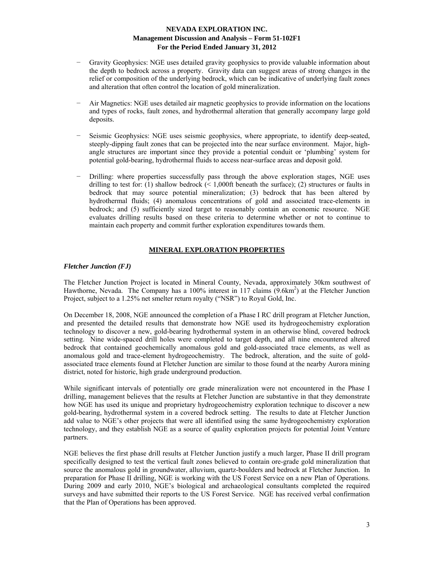- Gravity Geophysics: NGE uses detailed gravity geophysics to provide valuable information about the depth to bedrock across a property. Gravity data can suggest areas of strong changes in the relief or composition of the underlying bedrock, which can be indicative of underlying fault zones and alteration that often control the location of gold mineralization.
- Air Magnetics: NGE uses detailed air magnetic geophysics to provide information on the locations and types of rocks, fault zones, and hydrothermal alteration that generally accompany large gold deposits.
- Seismic Geophysics: NGE uses seismic geophysics, where appropriate, to identify deep-seated, steeply-dipping fault zones that can be projected into the near surface environment. Major, highangle structures are important since they provide a potential conduit or 'plumbing' system for potential gold-bearing, hydrothermal fluids to access near-surface areas and deposit gold.
- Drilling: where properties successfully pass through the above exploration stages, NGE uses drilling to test for: (1) shallow bedrock  $($  < 1,000ft beneath the surface); (2) structures or faults in bedrock that may source potential mineralization; (3) bedrock that has been altered by hydrothermal fluids; (4) anomalous concentrations of gold and associated trace-elements in bedrock; and (5) sufficiently sized target to reasonably contain an economic resource. NGE evaluates drilling results based on these criteria to determine whether or not to continue to maintain each property and commit further exploration expenditures towards them.

# **MINERAL EXPLORATION PROPERTIES**

## *Fletcher Junction (FJ)*

The Fletcher Junction Project is located in Mineral County, Nevada, approximately 30km southwest of Hawthorne, Nevada. The Company has a 100% interest in 117 claims (9.6km<sup>2</sup>) at the Fletcher Junction Project, subject to a 1.25% net smelter return royalty ("NSR") to Royal Gold, Inc.

On December 18, 2008, NGE announced the completion of a Phase I RC drill program at Fletcher Junction, and presented the detailed results that demonstrate how NGE used its hydrogeochemistry exploration technology to discover a new, gold-bearing hydrothermal system in an otherwise blind, covered bedrock setting. Nine wide-spaced drill holes were completed to target depth, and all nine encountered altered bedrock that contained geochemically anomalous gold and gold-associated trace elements, as well as anomalous gold and trace-element hydrogeochemistry. The bedrock, alteration, and the suite of goldassociated trace elements found at Fletcher Junction are similar to those found at the nearby Aurora mining district, noted for historic, high grade underground production.

While significant intervals of potentially ore grade mineralization were not encountered in the Phase I drilling, management believes that the results at Fletcher Junction are substantive in that they demonstrate how NGE has used its unique and proprietary hydrogeochemistry exploration technique to discover a new gold-bearing, hydrothermal system in a covered bedrock setting. The results to date at Fletcher Junction add value to NGE's other projects that were all identified using the same hydrogeochemistry exploration technology, and they establish NGE as a source of quality exploration projects for potential Joint Venture partners.

NGE believes the first phase drill results at Fletcher Junction justify a much larger, Phase II drill program specifically designed to test the vertical fault zones believed to contain ore-grade gold mineralization that source the anomalous gold in groundwater, alluvium, quartz-boulders and bedrock at Fletcher Junction. In preparation for Phase II drilling, NGE is working with the US Forest Service on a new Plan of Operations. During 2009 and early 2010, NGE's biological and archaeological consultants completed the required surveys and have submitted their reports to the US Forest Service. NGE has received verbal confirmation that the Plan of Operations has been approved.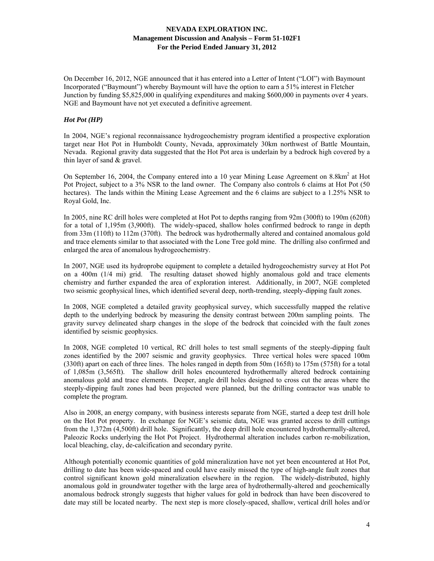On December 16, 2012, NGE announced that it has entered into a Letter of Intent ("LOI") with Baymount Incorporated ("Baymount") whereby Baymount will have the option to earn a 51% interest in Fletcher Junction by funding \$5,825,000 in qualifying expenditures and making \$600,000 in payments over 4 years. NGE and Baymount have not yet executed a definitive agreement.

#### *Hot Pot (HP)*

In 2004, NGE's regional reconnaissance hydrogeochemistry program identified a prospective exploration target near Hot Pot in Humboldt County, Nevada, approximately 30km northwest of Battle Mountain, Nevada. Regional gravity data suggested that the Hot Pot area is underlain by a bedrock high covered by a thin layer of sand & gravel.

On September 16, 2004, the Company entered into a 10 year Mining Lease Agreement on 8.8km<sup>2</sup> at Hot Pot Project, subject to a 3% NSR to the land owner. The Company also controls 6 claims at Hot Pot (50 hectares). The lands within the Mining Lease Agreement and the 6 claims are subject to a 1.25% NSR to Royal Gold, Inc.

In 2005, nine RC drill holes were completed at Hot Pot to depths ranging from 92m (300ft) to 190m (620ft) for a total of 1,195m (3,900ft). The widely-spaced, shallow holes confirmed bedrock to range in depth from 33m (110ft) to 112m (370ft). The bedrock was hydrothermally altered and contained anomalous gold and trace elements similar to that associated with the Lone Tree gold mine. The drilling also confirmed and enlarged the area of anomalous hydrogeochemistry.

In 2007, NGE used its hydroprobe equipment to complete a detailed hydrogeochemistry survey at Hot Pot on a 400m (1/4 mi) grid. The resulting dataset showed highly anomalous gold and trace elements chemistry and further expanded the area of exploration interest. Additionally, in 2007, NGE completed two seismic geophysical lines, which identified several deep, north-trending, steeply-dipping fault zones.

In 2008, NGE completed a detailed gravity geophysical survey, which successfully mapped the relative depth to the underlying bedrock by measuring the density contrast between 200m sampling points. The gravity survey delineated sharp changes in the slope of the bedrock that coincided with the fault zones identified by seismic geophysics.

In 2008, NGE completed 10 vertical, RC drill holes to test small segments of the steeply-dipping fault zones identified by the 2007 seismic and gravity geophysics. Three vertical holes were spaced 100m (330ft) apart on each of three lines. The holes ranged in depth from 50m (165ft) to 175m (575ft) for a total of 1,085m (3,565ft). The shallow drill holes encountered hydrothermally altered bedrock containing anomalous gold and trace elements. Deeper, angle drill holes designed to cross cut the areas where the steeply-dipping fault zones had been projected were planned, but the drilling contractor was unable to complete the program.

Also in 2008, an energy company, with business interests separate from NGE, started a deep test drill hole on the Hot Pot property. In exchange for NGE's seismic data, NGE was granted access to drill cuttings from the 1,372m (4,500ft) drill hole. Significantly, the deep drill hole encountered hydrothermally-altered, Paleozic Rocks underlying the Hot Pot Project. Hydrothermal alteration includes carbon re-mobilization, local bleaching, clay, de-calcification and secondary pyrite.

Although potentially economic quantities of gold mineralization have not yet been encountered at Hot Pot, drilling to date has been wide-spaced and could have easily missed the type of high-angle fault zones that control significant known gold mineralization elsewhere in the region. The widely-distributed, highly anomalous gold in groundwater together with the large area of hydrothermally-altered and geochemically anomalous bedrock strongly suggests that higher values for gold in bedrock than have been discovered to date may still be located nearby. The next step is more closely-spaced, shallow, vertical drill holes and/or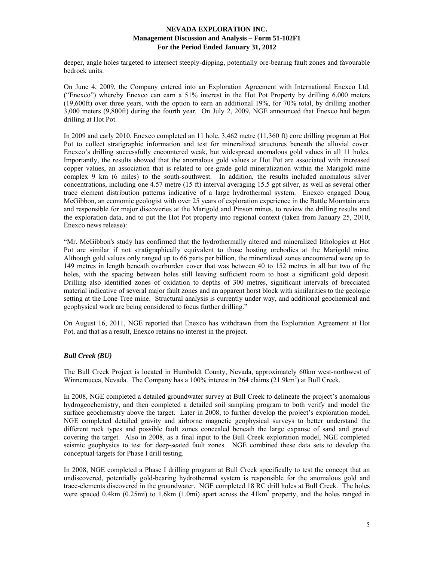deeper, angle holes targeted to intersect steeply-dipping, potentially ore-bearing fault zones and favourable bedrock units.

On June 4, 2009, the Company entered into an Exploration Agreement with International Enexco Ltd. ("Enexco") whereby Enexco can earn a 51% interest in the Hot Pot Property by drilling 6,000 meters (19,600ft) over three years, with the option to earn an additional 19%, for 70% total, by drilling another 3,000 meters (9,800ft) during the fourth year. On July 2, 2009, NGE announced that Enexco had begun drilling at Hot Pot.

In 2009 and early 2010, Enexco completed an 11 hole, 3,462 metre (11,360 ft) core drilling program at Hot Pot to collect stratigraphic information and test for mineralized structures beneath the alluvial cover. Enexco's drilling successfully encountered weak, but widespread anomalous gold values in all 11 holes. Importantly, the results showed that the anomalous gold values at Hot Pot are associated with increased copper values, an association that is related to ore-grade gold mineralization within the Marigold mine complex 9 km (6 miles) to the south-southwest. In addition, the results included anomalous silver concentrations, including one 4.57 metre (15 ft) interval averaging 15.5 gpt silver, as well as several other trace element distribution patterns indicative of a large hydrothermal system. Enexco engaged Doug McGibbon, an economic geologist with over 25 years of exploration experience in the Battle Mountain area and responsible for major discoveries at the Marigold and Pinson mines, to review the drilling results and the exploration data, and to put the Hot Pot property into regional context (taken from January 25, 2010, Enexco news release):

"Mr. McGibbon's study has confirmed that the hydrothermally altered and mineralized lithologies at Hot Pot are similar if not stratigraphically equivalent to those hosting orebodies at the Marigold mine. Although gold values only ranged up to 66 parts per billion, the mineralized zones encountered were up to 149 metres in length beneath overburden cover that was between 40 to 152 metres in all but two of the holes, with the spacing between holes still leaving sufficient room to host a significant gold deposit. Drilling also identified zones of oxidation to depths of 300 metres, significant intervals of brecciated material indicative of several major fault zones and an apparent horst block with similarities to the geologic setting at the Lone Tree mine. Structural analysis is currently under way, and additional geochemical and geophysical work are being considered to focus further drilling."

On August 16, 2011, NGE reported that Enexco has withdrawn from the Exploration Agreement at Hot Pot, and that as a result, Enexco retains no interest in the project.

## *Bull Creek (BU)*

The Bull Creek Project is located in Humboldt County, Nevada, approximately 60km west-northwest of Winnemucca, Nevada. The Company has a 100% interest in 264 claims (21.9km<sup>2</sup>) at Bull Creek.

In 2008, NGE completed a detailed groundwater survey at Bull Creek to delineate the project's anomalous hydrogeochemistry, and then completed a detailed soil sampling program to both verify and model the surface geochemistry above the target. Later in 2008, to further develop the project's exploration model, NGE completed detailed gravity and airborne magnetic geophysical surveys to better understand the different rock types and possible fault zones concealed beneath the large expanse of sand and gravel covering the target. Also in 2008, as a final input to the Bull Creek exploration model, NGE completed seismic geophysics to test for deep-seated fault zones. NGE combined these data sets to develop the conceptual targets for Phase I drill testing.

In 2008, NGE completed a Phase I drilling program at Bull Creek specifically to test the concept that an undiscovered, potentially gold-bearing hydrothermal system is responsible for the anomalous gold and trace-elements discovered in the groundwater. NGE completed 18 RC drill holes at Bull Creek. The holes were spaced 0.4km (0.25mi) to 1.6km (1.0mi) apart across the 41km<sup>2</sup> property, and the holes ranged in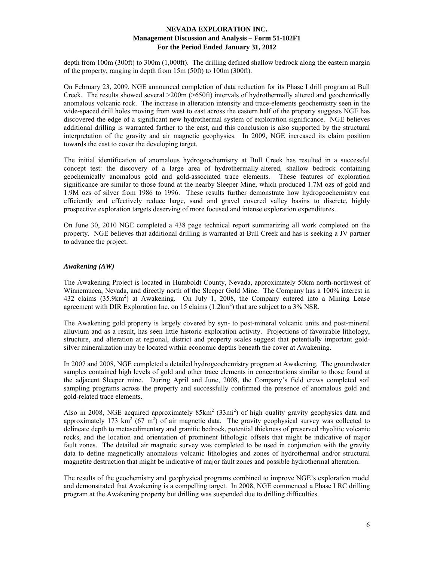depth from 100m (300ft) to 300m (1,000ft). The drilling defined shallow bedrock along the eastern margin of the property, ranging in depth from 15m (50ft) to 100m (300ft).

On February 23, 2009, NGE announced completion of data reduction for its Phase I drill program at Bull Creek. The results showed several >200m (>650ft) intervals of hydrothermally altered and geochemically anomalous volcanic rock. The increase in alteration intensity and trace-elements geochemistry seen in the wide-spaced drill holes moving from west to east across the eastern half of the property suggests NGE has discovered the edge of a significant new hydrothermal system of exploration significance. NGE believes additional drilling is warranted farther to the east, and this conclusion is also supported by the structural interpretation of the gravity and air magnetic geophysics. In 2009, NGE increased its claim position towards the east to cover the developing target.

The initial identification of anomalous hydrogeochemistry at Bull Creek has resulted in a successful concept test: the discovery of a large area of hydrothermally-altered, shallow bedrock containing geochemically anomalous gold and gold-associated trace elements. These features of exploration significance are similar to those found at the nearby Sleeper Mine, which produced 1.7M ozs of gold and 1.9M ozs of silver from 1986 to 1996. These results further demonstrate how hydrogeochemistry can efficiently and effectively reduce large, sand and gravel covered valley basins to discrete, highly prospective exploration targets deserving of more focused and intense exploration expenditures.

On June 30, 2010 NGE completed a 438 page technical report summarizing all work completed on the property. NGE believes that additional drilling is warranted at Bull Creek and has is seeking a JV partner to advance the project.

#### *Awakening (AW)*

The Awakening Project is located in Humboldt County, Nevada, approximately 50km north-northwest of Winnemucca, Nevada, and directly north of the Sleeper Gold Mine. The Company has a 100% interest in 432 claims (35.9km<sup>2</sup>) at Awakening. On July 1, 2008, the Company entered into a Mining Lease agreement with DIR Exploration Inc. on 15 claims  $(1.2 \text{km}^2)$  that are subject to a 3% NSR.

The Awakening gold property is largely covered by syn- to post-mineral volcanic units and post-mineral alluvium and as a result, has seen little historic exploration activity. Projections of favourable lithology, structure, and alteration at regional, district and property scales suggest that potentially important goldsilver mineralization may be located within economic depths beneath the cover at Awakening.

In 2007 and 2008, NGE completed a detailed hydrogeochemistry program at Awakening. The groundwater samples contained high levels of gold and other trace elements in concentrations similar to those found at the adjacent Sleeper mine. During April and June, 2008, the Company's field crews completed soil sampling programs across the property and successfully confirmed the presence of anomalous gold and gold-related trace elements.

Also in 2008, NGE acquired approximately  $85 \text{km}^2$  (33mi<sup>2</sup>) of high quality gravity geophysics data and approximately 173  $\text{km}^2$  (67 m<sup>2</sup>) of air magnetic data. The gravity geophysical survey was collected to delineate depth to metasedimentary and granitic bedrock, potential thickness of preserved rhyolitic volcanic rocks, and the location and orientation of prominent lithologic offsets that might be indicative of major fault zones. The detailed air magnetic survey was completed to be used in conjunction with the gravity data to define magnetically anomalous volcanic lithologies and zones of hydrothermal and/or structural magnetite destruction that might be indicative of major fault zones and possible hydrothermal alteration.

The results of the geochemistry and geophysical programs combined to improve NGE's exploration model and demonstrated that Awakening is a compelling target. In 2008, NGE commenced a Phase I RC drilling program at the Awakening property but drilling was suspended due to drilling difficulties.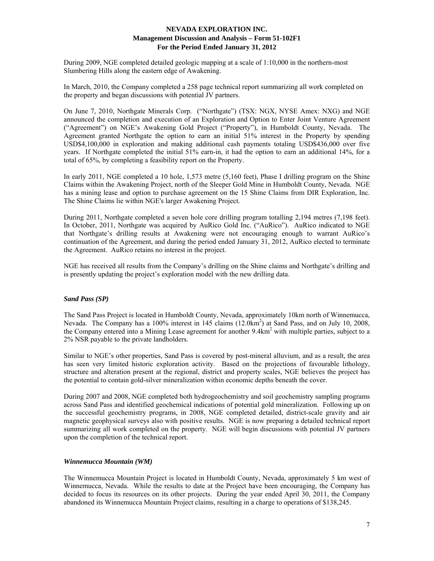During 2009, NGE completed detailed geologic mapping at a scale of 1:10,000 in the northern-most Slumbering Hills along the eastern edge of Awakening.

In March, 2010, the Company completed a 258 page technical report summarizing all work completed on the property and began discussions with potential JV partners.

On June 7, 2010, Northgate Minerals Corp. ("Northgate") (TSX: NGX, NYSE Amex: NXG) and NGE announced the completion and execution of an Exploration and Option to Enter Joint Venture Agreement ("Agreement") on NGE's Awakening Gold Project ("Property"), in Humboldt County, Nevada. The Agreement granted Northgate the option to earn an initial 51% interest in the Property by spending USD\$4,100,000 in exploration and making additional cash payments totaling USD\$436,000 over five years. If Northgate completed the initial 51% earn-in, it had the option to earn an additional 14%, for a total of 65%, by completing a feasibility report on the Property.

In early 2011, NGE completed a 10 hole, 1,573 metre (5,160 feet), Phase I drilling program on the Shine Claims within the Awakening Project, north of the Sleeper Gold Mine in Humboldt County, Nevada. NGE has a mining lease and option to purchase agreement on the 15 Shine Claims from DIR Exploration, Inc. The Shine Claims lie within NGE's larger Awakening Project.

During 2011, Northgate completed a seven hole core drilling program totalling 2,194 metres (7,198 feet). In October, 2011, Northgate was acquired by AuRico Gold Inc. ("AuRico"). AuRico indicated to NGE that Northgate's drilling results at Awakening were not encouraging enough to warrant AuRico's continuation of the Agreement, and during the period ended January 31, 2012, AuRico elected to terminate the Agreement. AuRico retains no interest in the project.

NGE has received all results from the Company's drilling on the Shine claims and Northgate's drilling and is presently updating the project's exploration model with the new drilling data.

## *Sand Pass (SP)*

The Sand Pass Project is located in Humboldt County, Nevada, approximately 10km north of Winnemucca, Nevada. The Company has a 100% interest in 145 claims (12.0km<sup>2</sup>) at Sand Pass, and on July 10, 2008, the Company entered into a Mining Lease agreement for another 9.4km<sup>2</sup> with multiple parties, subject to a 2% NSR payable to the private landholders.

Similar to NGE's other properties, Sand Pass is covered by post-mineral alluvium, and as a result, the area has seen very limited historic exploration activity. Based on the projections of favourable lithology, structure and alteration present at the regional, district and property scales, NGE believes the project has the potential to contain gold-silver mineralization within economic depths beneath the cover.

During 2007 and 2008, NGE completed both hydrogeochemistry and soil geochemistry sampling programs across Sand Pass and identified geochemical indications of potential gold mineralization. Following up on the successful geochemistry programs, in 2008, NGE completed detailed, district-scale gravity and air magnetic geophysical surveys also with positive results. NGE is now preparing a detailed technical report summarizing all work completed on the property. NGE will begin discussions with potential JV partners upon the completion of the technical report.

#### *Winnemucca Mountain (WM)*

The Winnemucca Mountain Project is located in Humboldt County, Nevada, approximately 5 km west of Winnemucca, Nevada. While the results to date at the Project have been encouraging, the Company has decided to focus its resources on its other projects. During the year ended April 30, 2011, the Company abandoned its Winnemucca Mountain Project claims, resulting in a charge to operations of \$138,245.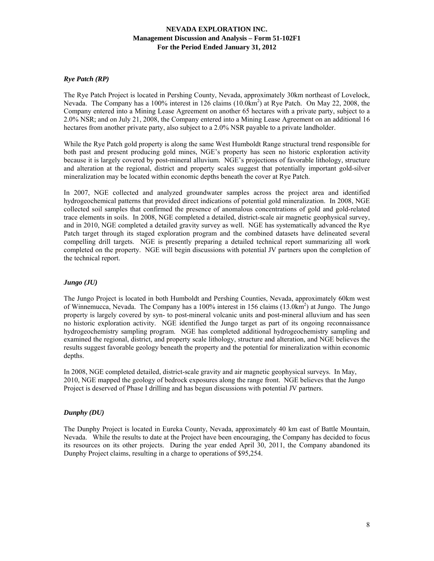## *Rye Patch (RP)*

The Rye Patch Project is located in Pershing County, Nevada, approximately 30km northeast of Lovelock, Nevada. The Company has a 100% interest in 126 claims (10.0km<sup>2</sup>) at Rye Patch. On May 22, 2008, the Company entered into a Mining Lease Agreement on another 65 hectares with a private party, subject to a 2.0% NSR; and on July 21, 2008, the Company entered into a Mining Lease Agreement on an additional 16 hectares from another private party, also subject to a 2.0% NSR payable to a private landholder.

While the Rye Patch gold property is along the same West Humboldt Range structural trend responsible for both past and present producing gold mines, NGE's property has seen no historic exploration activity because it is largely covered by post-mineral alluvium. NGE's projections of favorable lithology, structure and alteration at the regional, district and property scales suggest that potentially important gold-silver mineralization may be located within economic depths beneath the cover at Rye Patch.

In 2007, NGE collected and analyzed groundwater samples across the project area and identified hydrogeochemical patterns that provided direct indications of potential gold mineralization. In 2008, NGE collected soil samples that confirmed the presence of anomalous concentrations of gold and gold-related trace elements in soils. In 2008, NGE completed a detailed, district-scale air magnetic geophysical survey, and in 2010, NGE completed a detailed gravity survey as well. NGE has systematically advanced the Rye Patch target through its staged exploration program and the combined datasets have delineated several compelling drill targets. NGE is presently preparing a detailed technical report summarizing all work completed on the property. NGE will begin discussions with potential JV partners upon the completion of the technical report.

# *Jungo (JU)*

The Jungo Project is located in both Humboldt and Pershing Counties, Nevada, approximately 60km west of Winnemucca, Nevada. The Company has a 100% interest in 156 claims (13.0km<sup>2</sup>) at Jungo. The Jungo property is largely covered by syn- to post-mineral volcanic units and post-mineral alluvium and has seen no historic exploration activity. NGE identified the Jungo target as part of its ongoing reconnaissance hydrogeochemistry sampling program. NGE has completed additional hydrogeochemistry sampling and examined the regional, district, and property scale lithology, structure and alteration, and NGE believes the results suggest favorable geology beneath the property and the potential for mineralization within economic depths.

In 2008, NGE completed detailed, district-scale gravity and air magnetic geophysical surveys. In May, 2010, NGE mapped the geology of bedrock exposures along the range front. NGE believes that the Jungo Project is deserved of Phase I drilling and has begun discussions with potential JV partners.

## *Dunphy (DU)*

The Dunphy Project is located in Eureka County, Nevada, approximately 40 km east of Battle Mountain, Nevada. While the results to date at the Project have been encouraging, the Company has decided to focus its resources on its other projects. During the year ended April 30, 2011, the Company abandoned its Dunphy Project claims, resulting in a charge to operations of \$95,254.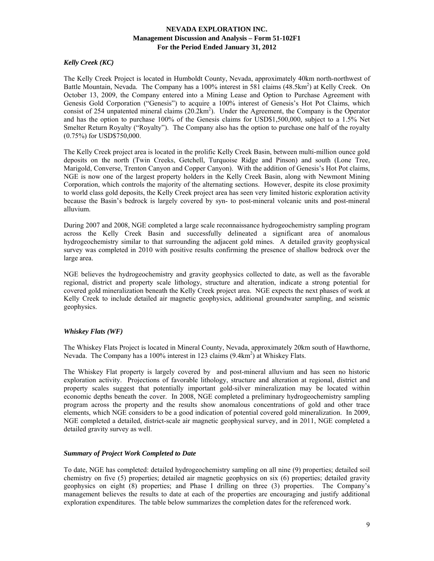# *Kelly Creek (KC)*

The Kelly Creek Project is located in Humboldt County, Nevada, approximately 40km north-northwest of Battle Mountain, Nevada. The Company has a 100% interest in 581 claims (48.5km<sup>2</sup>) at Kelly Creek. On October 13, 2009, the Company entered into a Mining Lease and Option to Purchase Agreement with Genesis Gold Corporation ("Genesis") to acquire a 100% interest of Genesis's Hot Pot Claims, which consist of 254 unpatented mineral claims  $(20.2 \text{km}^2)$ . Under the Agreement, the Company is the Operator and has the option to purchase 100% of the Genesis claims for USD\$1,500,000, subject to a 1.5% Net Smelter Return Royalty ("Royalty"). The Company also has the option to purchase one half of the royalty (0.75%) for USD\$750,000.

The Kelly Creek project area is located in the prolific Kelly Creek Basin, between multi-million ounce gold deposits on the north (Twin Creeks, Getchell, Turquoise Ridge and Pinson) and south (Lone Tree, Marigold, Converse, Trenton Canyon and Copper Canyon). With the addition of Genesis's Hot Pot claims, NGE is now one of the largest property holders in the Kelly Creek Basin, along with Newmont Mining Corporation, which controls the majority of the alternating sections. However, despite its close proximity to world class gold deposits, the Kelly Creek project area has seen very limited historic exploration activity because the Basin's bedrock is largely covered by syn- to post-mineral volcanic units and post-mineral alluvium.

During 2007 and 2008, NGE completed a large scale reconnaissance hydrogeochemistry sampling program across the Kelly Creek Basin and successfully delineated a significant area of anomalous hydrogeochemistry similar to that surrounding the adjacent gold mines. A detailed gravity geophysical survey was completed in 2010 with positive results confirming the presence of shallow bedrock over the large area.

NGE believes the hydrogeochemistry and gravity geophysics collected to date, as well as the favorable regional, district and property scale lithology, structure and alteration, indicate a strong potential for covered gold mineralization beneath the Kelly Creek project area. NGE expects the next phases of work at Kelly Creek to include detailed air magnetic geophysics, additional groundwater sampling, and seismic geophysics.

## *Whiskey Flats (WF)*

The Whiskey Flats Project is located in Mineral County, Nevada, approximately 20km south of Hawthorne, Nevada. The Company has a 100% interest in 123 claims (9.4km<sup>2</sup>) at Whiskey Flats.

The Whiskey Flat property is largely covered by and post-mineral alluvium and has seen no historic exploration activity. Projections of favorable lithology, structure and alteration at regional, district and property scales suggest that potentially important gold-silver mineralization may be located within economic depths beneath the cover. In 2008, NGE completed a preliminary hydrogeochemistry sampling program across the property and the results show anomalous concentrations of gold and other trace elements, which NGE considers to be a good indication of potential covered gold mineralization. In 2009, NGE completed a detailed, district-scale air magnetic geophysical survey, and in 2011, NGE completed a detailed gravity survey as well.

## *Summary of Project Work Completed to Date*

To date, NGE has completed: detailed hydrogeochemistry sampling on all nine (9) properties; detailed soil chemistry on five (5) properties; detailed air magnetic geophysics on six (6) properties; detailed gravity geophysics on eight (8) properties; and Phase I drilling on three (3) properties. The Company's management believes the results to date at each of the properties are encouraging and justify additional exploration expenditures. The table below summarizes the completion dates for the referenced work.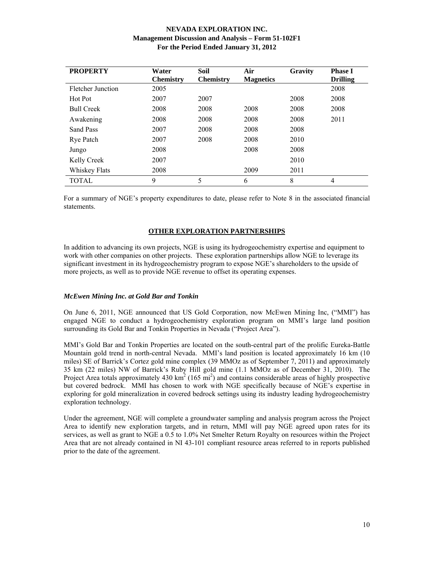| <b>PROPERTY</b>   | Water<br><b>Chemistry</b> | Soil<br><b>Chemistry</b> | Air<br><b>Magnetics</b> | Gravity | <b>Phase I</b><br><b>Drilling</b> |
|-------------------|---------------------------|--------------------------|-------------------------|---------|-----------------------------------|
| Fletcher Junction | 2005                      |                          |                         |         | 2008                              |
| Hot Pot           | 2007                      | 2007                     |                         | 2008    | 2008                              |
| <b>Bull Creek</b> | 2008                      | 2008                     | 2008                    | 2008    | 2008                              |
| Awakening         | 2008                      | 2008                     | 2008                    | 2008    | 2011                              |
| Sand Pass         | 2007                      | 2008                     | 2008                    | 2008    |                                   |
| <b>Rye Patch</b>  | 2007                      | 2008                     | 2008                    | 2010    |                                   |
| Jungo             | 2008                      |                          | 2008                    | 2008    |                                   |
| Kelly Creek       | 2007                      |                          |                         | 2010    |                                   |
| Whiskey Flats     | 2008                      |                          | 2009                    | 2011    |                                   |
| <b>TOTAL</b>      | 9                         | 5                        | 6                       | 8       | 4                                 |

For a summary of NGE's property expenditures to date, please refer to Note 8 in the associated financial statements.

## **OTHER EXPLORATION PARTNERSHIPS**

In addition to advancing its own projects, NGE is using its hydrogeochemistry expertise and equipment to work with other companies on other projects. These exploration partnerships allow NGE to leverage its significant investment in its hydrogeochemistry program to expose NGE's shareholders to the upside of more projects, as well as to provide NGE revenue to offset its operating expenses.

## *McEwen Mining Inc. at Gold Bar and Tonkin*

On June 6, 2011, NGE announced that US Gold Corporation, now McEwen Mining Inc, ("MMI") has engaged NGE to conduct a hydrogeochemistry exploration program on MMI's large land position surrounding its Gold Bar and Tonkin Properties in Nevada ("Project Area").

MMI's Gold Bar and Tonkin Properties are located on the south-central part of the prolific Eureka-Battle Mountain gold trend in north-central Nevada. MMI's land position is located approximately 16 km (10 miles) SE of Barrick's Cortez gold mine complex (39 MMOz as of September 7, 2011) and approximately 35 km (22 miles) NW of Barrick's Ruby Hill gold mine (1.1 MMOz as of December 31, 2010). The Project Area totals approximately 430  $\text{km}^2$  (165 mi<sup>2</sup>) and contains considerable areas of highly prospective but covered bedrock. MMI has chosen to work with NGE specifically because of NGE's expertise in exploring for gold mineralization in covered bedrock settings using its industry leading hydrogeochemistry exploration technology.

Under the agreement, NGE will complete a groundwater sampling and analysis program across the Project Area to identify new exploration targets, and in return, MMI will pay NGE agreed upon rates for its services, as well as grant to NGE a 0.5 to 1.0% Net Smelter Return Royalty on resources within the Project Area that are not already contained in NI 43-101 compliant resource areas referred to in reports published prior to the date of the agreement.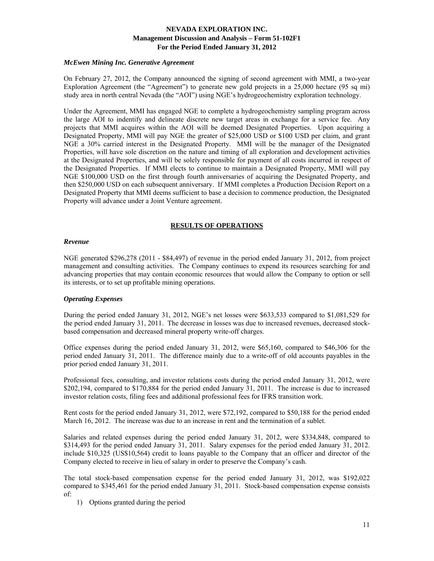#### *McEwen Mining Inc. Generative Agreement*

On February 27, 2012, the Company announced the signing of second agreement with MMI, a two-year Exploration Agreement (the "Agreement") to generate new gold projects in a 25,000 hectare (95 sq mi) study area in north central Nevada (the "AOI") using NGE's hydrogeochemistry exploration technology.

Under the Agreement, MMI has engaged NGE to complete a hydrogeochemistry sampling program across the large AOI to indentify and delineate discrete new target areas in exchange for a service fee. Any projects that MMI acquires within the AOI will be deemed Designated Properties. Upon acquiring a Designated Property, MMI will pay NGE the greater of \$25,000 USD or \$100 USD per claim, and grant NGE a 30% carried interest in the Designated Property. MMI will be the manager of the Designated Properties, will have sole discretion on the nature and timing of all exploration and development activities at the Designated Properties, and will be solely responsible for payment of all costs incurred in respect of the Designated Properties. If MMI elects to continue to maintain a Designated Property, MMI will pay NGE \$100,000 USD on the first through fourth anniversaries of acquiring the Designated Property, and then \$250,000 USD on each subsequent anniversary. If MMI completes a Production Decision Report on a Designated Property that MMI deems sufficient to base a decision to commence production, the Designated Property will advance under a Joint Venture agreement.

## **RESULTS OF OPERATIONS**

#### *Revenue*

NGE generated \$296,278 (2011 - \$84,497) of revenue in the period ended January 31, 2012, from project management and consulting activities. The Company continues to expend its resources searching for and advancing properties that may contain economic resources that would allow the Company to option or sell its interests, or to set up profitable mining operations.

## *Operating Expenses*

During the period ended January 31, 2012, NGE's net losses were \$633,533 compared to \$1,081,529 for the period ended January 31, 2011. The decrease in losses was due to increased revenues, decreased stockbased compensation and decreased mineral property write-off charges.

Office expenses during the period ended January 31, 2012, were \$65,160, compared to \$46,306 for the period ended January 31, 2011. The difference mainly due to a write-off of old accounts payables in the prior period ended January 31, 2011.

Professional fees, consulting, and investor relations costs during the period ended January 31, 2012, were \$202,194, compared to \$170,884 for the period ended January 31, 2011. The increase is due to increased investor relation costs, filing fees and additional professional fees for IFRS transition work.

Rent costs for the period ended January 31, 2012, were \$72,192, compared to \$50,188 for the period ended March 16, 2012. The increase was due to an increase in rent and the termination of a sublet.

Salaries and related expenses during the period ended January 31, 2012, were \$334,848, compared to \$314,493 for the period ended January 31, 2011. Salary expenses for the period ended January 31, 2012. include \$10,325 (US\$10,564) credit to loans payable to the Company that an officer and director of the Company elected to receive in lieu of salary in order to preserve the Company's cash.

The total stock-based compensation expense for the period ended January 31, 2012, was \$192,022 compared to \$345,461 for the period ended January 31, 2011. Stock-based compensation expense consists of:

1) Options granted during the period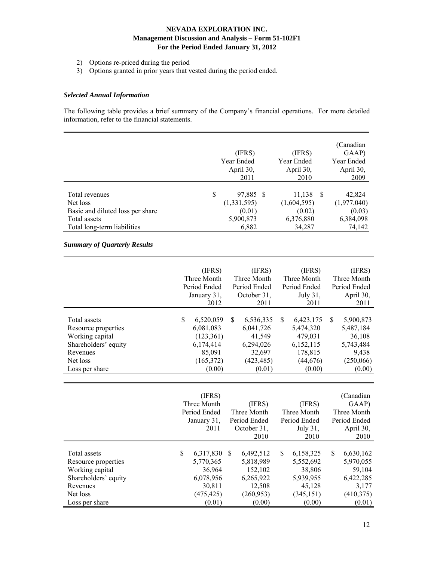- 2) Options re-priced during the period
- 3) Options granted in prior years that vested during the period ended.

#### *Selected Annual Information*

The following table provides a brief summary of the Company's financial operations. For more detailed information, refer to the financial statements.

|                                                                                 | (IFRS)<br>Year Ended<br>April 30,<br>2011 | (IFRS)<br>Year Ended<br>April 30,<br>2010 | (Canadian<br>GAAP)<br>Year Ended<br>April 30,<br>2009 |
|---------------------------------------------------------------------------------|-------------------------------------------|-------------------------------------------|-------------------------------------------------------|
| Total revenues<br>Net loss                                                      | S<br>97,885 \$<br>(1,331,595)<br>(0.01)   | 11,138<br>(1,604,595)<br>(0.02)           | 42,824<br>-S<br>(1,977,040)                           |
| Basic and diluted loss per share<br>Total assets<br>Total long-term liabilities | 5,900,873<br>6,882                        | 6,376,880<br>34,287                       | (0.03)<br>6,384,098<br>74.142                         |

# *Summary of Quarterly Results*

|                      | (IFRS)<br>Three Month<br>Period Ended<br>January 31, | (IFRS)<br>Three Month<br>Period Ended<br>October 31, | (IFRS)<br>Three Month<br>Period Ended<br>July 31, | (IFRS)<br>Three Month<br>Period Ended<br>April 30, |
|----------------------|------------------------------------------------------|------------------------------------------------------|---------------------------------------------------|----------------------------------------------------|
|                      | 2012                                                 | 2011                                                 | 2011                                              | 2011                                               |
| Total assets         | \$<br>6,520,059                                      | \$<br>6,536,335                                      | \$<br>6,423,175                                   | \$<br>5,900,873                                    |
| Resource properties  | 6,081,083                                            | 6,041,726                                            | 5,474,320                                         | 5,487,184                                          |
| Working capital      | (123, 361)                                           | 41,549                                               | 479,031                                           | 36,108                                             |
| Shareholders' equity | 6,174,414                                            | 6,294,026                                            | 6,152,115                                         | 5,743,484                                          |
| Revenues             | 85,091                                               | 32,697                                               | 178,815                                           | 9,438                                              |
| Net loss             | (165,372)                                            | (423, 485)                                           | (44, 676)                                         | (250,066)                                          |
| Loss per share       | (0.00)                                               | (0.01)                                               | (0.00)                                            | (0.00)                                             |
|                      |                                                      |                                                      |                                                   |                                                    |
|                      |                                                      |                                                      |                                                   |                                                    |
|                      | (IFRS)                                               |                                                      |                                                   | (Canadian                                          |
|                      | Three Month                                          | (IFRS)                                               | (IFRS)                                            | GAAP)                                              |
|                      | Period Ended                                         | Three Month                                          | Three Month                                       | Three Month                                        |
|                      | January 31,                                          | Period Ended                                         | Period Ended                                      | Period Ended                                       |
|                      | 2011                                                 | October 31,                                          | July 31,                                          | April 30,                                          |
|                      |                                                      | 2010                                                 | 2010                                              | 2010                                               |
|                      |                                                      |                                                      |                                                   |                                                    |
| Total assets         | \$<br>6,317,830                                      | \$<br>6,492,512                                      | \$<br>6,158,325                                   | \$.<br>6,630,162                                   |
| Resource properties  | 5,770,365                                            | 5,818,989                                            | 5,552,692                                         | 5,970,055                                          |
| Working capital      | 36,964                                               | 152,102                                              | 38,806                                            | 59,104                                             |
| Shareholders' equity | 6,078,956                                            | 6,265,922                                            | 5,939,955                                         | 6,422,285                                          |
| Revenues             | 30,811                                               | 12,508                                               | 45,128                                            | 3,177                                              |
| Net loss             |                                                      |                                                      |                                                   |                                                    |
|                      |                                                      |                                                      |                                                   |                                                    |
| Loss per share       | (475, 425)<br>(0.01)                                 | (260, 953)<br>(0.00)                                 | (345, 151)<br>(0.00)                              | (410,375)<br>(0.01)                                |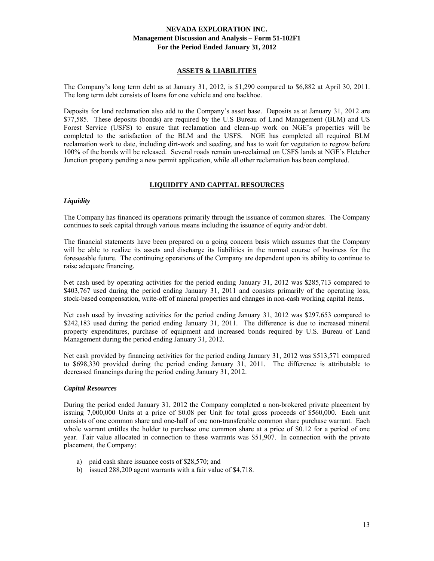## **ASSETS & LIABILITIES**

The Company's long term debt as at January 31, 2012, is \$1,290 compared to \$6,882 at April 30, 2011. The long term debt consists of loans for one vehicle and one backhoe.

Deposits for land reclamation also add to the Company's asset base. Deposits as at January 31, 2012 are \$77,585. These deposits (bonds) are required by the U.S Bureau of Land Management (BLM) and US Forest Service (USFS) to ensure that reclamation and clean-up work on NGE's properties will be completed to the satisfaction of the BLM and the USFS. NGE has completed all required BLM reclamation work to date, including dirt-work and seeding, and has to wait for vegetation to regrow before 100% of the bonds will be released. Several roads remain un-reclaimed on USFS lands at NGE's Fletcher Junction property pending a new permit application, while all other reclamation has been completed.

# **LIQUIDITY AND CAPITAL RESOURCES**

## *Liquidity*

The Company has financed its operations primarily through the issuance of common shares. The Company continues to seek capital through various means including the issuance of equity and/or debt.

The financial statements have been prepared on a going concern basis which assumes that the Company will be able to realize its assets and discharge its liabilities in the normal course of business for the foreseeable future. The continuing operations of the Company are dependent upon its ability to continue to raise adequate financing.

Net cash used by operating activities for the period ending January 31, 2012 was \$285,713 compared to \$403,767 used during the period ending January 31, 2011 and consists primarily of the operating loss, stock-based compensation, write-off of mineral properties and changes in non-cash working capital items.

Net cash used by investing activities for the period ending January 31, 2012 was \$297,653 compared to \$242,183 used during the period ending January 31, 2011. The difference is due to increased mineral property expenditures, purchase of equipment and increased bonds required by U.S. Bureau of Land Management during the period ending January 31, 2012.

Net cash provided by financing activities for the period ending January 31, 2012 was \$513,571 compared to \$698,330 provided during the period ending January 31, 2011. The difference is attributable to decreased financings during the period ending January 31, 2012.

## *Capital Resources*

During the period ended January 31, 2012 the Company completed a non-brokered private placement by issuing 7,000,000 Units at a price of \$0.08 per Unit for total gross proceeds of \$560,000. Each unit consists of one common share and one-half of one non-transferable common share purchase warrant. Each whole warrant entitles the holder to purchase one common share at a price of \$0.12 for a period of one year. Fair value allocated in connection to these warrants was \$51,907. In connection with the private placement, the Company:

- a) paid cash share issuance costs of \$28,570; and
- b) issued 288,200 agent warrants with a fair value of \$4,718.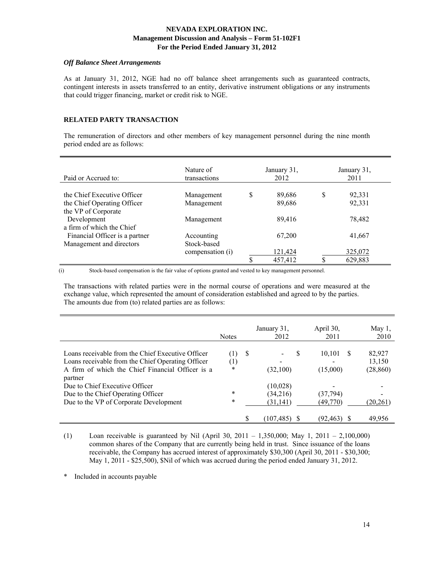#### *Off Balance Sheet Arrangements*

As at January 31, 2012, NGE had no off balance sheet arrangements such as guaranteed contracts, contingent interests in assets transferred to an entity, derivative instrument obligations or any instruments that could trigger financing, market or credit risk to NGE.

## **RELATED PARTY TRANSACTION**

The remuneration of directors and other members of key management personnel during the nine month period ended are as follows:

| Paid or Accrued to:                                                               | Nature of<br>transactions |   | January 31,<br>2012 |   | January 31,<br>2011 |
|-----------------------------------------------------------------------------------|---------------------------|---|---------------------|---|---------------------|
| the Chief Executive Officer<br>the Chief Operating Officer<br>the VP of Corporate | Management<br>Management  | S | 89,686<br>89,686    | S | 92,331<br>92,331    |
| Development<br>a firm of which the Chief                                          | Management                |   | 89,416              |   | 78,482              |
| Financial Officer is a partner<br>Management and directors                        | Accounting<br>Stock-based |   | 67,200              |   | 41,667              |
|                                                                                   | compensation (i)          |   | 121,424<br>457,412  |   | 325,072<br>629,883  |

(i) Stock-based compensation is the fair value of options granted and vested to key management personnel.

The transactions with related parties were in the normal course of operations and were measured at the exchange value, which represented the amount of consideration established and agreed to by the parties. The amounts due from (to) related parties are as follows:

|                                                   | <b>Notes</b>     |    | January 31,<br>2012 | April 30,<br>2011 |    | May 1,<br>2010 |
|---------------------------------------------------|------------------|----|---------------------|-------------------|----|----------------|
| Loans receivable from the Chief Executive Officer | (1)              | -S |                     | 10,101<br>S       | S. | 82,927         |
| Loans receivable from the Chief Operating Officer | $\left(1\right)$ |    |                     |                   |    | 13,150         |
| A firm of which the Chief Financial Officer is a  | *                |    | (32,100)            | (15,000)          |    | (28, 860)      |
| partner                                           |                  |    |                     |                   |    |                |
| Due to Chief Executive Officer                    |                  |    | (10,028)            |                   |    |                |
| Due to the Chief Operating Officer                | *                |    | (34,216)            | (37,794)          |    |                |
| Due to the VP of Corporate Development            | $\ast$           |    | (31, 141)           | (49,770)          |    | (20, 261)      |
|                                                   |                  |    | (107, 485)          | (92, 463)         |    | 49,956         |

(1) Loan receivable is guaranteed by Nil (April 30, 2011 – 1,350,000; May 1, 2011 – 2,100,000) common shares of the Company that are currently being held in trust. Since issuance of the loans receivable, the Company has accrued interest of approximately \$30,300 (April 30, 2011 - \$30,300; May 1, 2011 - \$25,500), \$Nil of which was accrued during the period ended January 31, 2012.

\* Included in accounts payable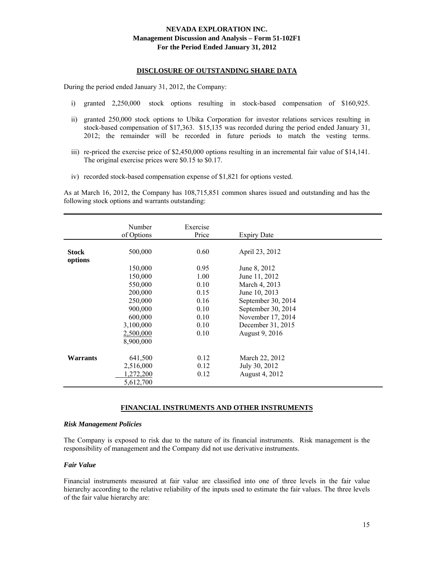#### **DISCLOSURE OF OUTSTANDING SHARE DATA**

During the period ended January 31, 2012, the Company:

- i) granted 2,250,000 stock options resulting in stock-based compensation of \$160,925.
- ii) granted 250,000 stock options to Ubika Corporation for investor relations services resulting in stock-based compensation of \$17,363. \$15,135 was recorded during the period ended January 31, 2012; the remainder will be recorded in future periods to match the vesting terms.
- iii) re-priced the exercise price of \$2,450,000 options resulting in an incremental fair value of \$14,141. The original exercise prices were \$0.15 to \$0.17.
- iv) recorded stock-based compensation expense of \$1,821 for options vested.

As at March 16, 2012, the Company has 108,715,851 common shares issued and outstanding and has the following stock options and warrants outstanding:

| Number<br>Exercise<br>of Options<br>Price<br><b>Expiry Date</b><br>500,000<br>0.60<br>April 23, 2012<br><b>Stock</b><br>options<br>150,000<br>0.95<br>June 8, 2012<br>150,000<br>1.00<br>June 11, 2012<br>550,000<br>March 4, 2013<br>0.10<br>200,000<br>June 10, 2013<br>0.15<br>250,000<br>0.16<br>September 30, 2014<br>900,000<br>September 30, 2014<br>0.10<br>600,000<br>November 17, 2014<br>0.10<br>3,100,000<br>December 31, 2015<br>0.10<br>2,500,000<br>0.10<br>August 9, 2016<br>8,900,000 |  |  |  |
|--------------------------------------------------------------------------------------------------------------------------------------------------------------------------------------------------------------------------------------------------------------------------------------------------------------------------------------------------------------------------------------------------------------------------------------------------------------------------------------------------------|--|--|--|
|                                                                                                                                                                                                                                                                                                                                                                                                                                                                                                        |  |  |  |
|                                                                                                                                                                                                                                                                                                                                                                                                                                                                                                        |  |  |  |
|                                                                                                                                                                                                                                                                                                                                                                                                                                                                                                        |  |  |  |
|                                                                                                                                                                                                                                                                                                                                                                                                                                                                                                        |  |  |  |
|                                                                                                                                                                                                                                                                                                                                                                                                                                                                                                        |  |  |  |
|                                                                                                                                                                                                                                                                                                                                                                                                                                                                                                        |  |  |  |
|                                                                                                                                                                                                                                                                                                                                                                                                                                                                                                        |  |  |  |
|                                                                                                                                                                                                                                                                                                                                                                                                                                                                                                        |  |  |  |
|                                                                                                                                                                                                                                                                                                                                                                                                                                                                                                        |  |  |  |
|                                                                                                                                                                                                                                                                                                                                                                                                                                                                                                        |  |  |  |
|                                                                                                                                                                                                                                                                                                                                                                                                                                                                                                        |  |  |  |
|                                                                                                                                                                                                                                                                                                                                                                                                                                                                                                        |  |  |  |
|                                                                                                                                                                                                                                                                                                                                                                                                                                                                                                        |  |  |  |
|                                                                                                                                                                                                                                                                                                                                                                                                                                                                                                        |  |  |  |
|                                                                                                                                                                                                                                                                                                                                                                                                                                                                                                        |  |  |  |
|                                                                                                                                                                                                                                                                                                                                                                                                                                                                                                        |  |  |  |
| <b>Warrants</b><br>641,500<br>0.12<br>March 22, 2012                                                                                                                                                                                                                                                                                                                                                                                                                                                   |  |  |  |
| 2,516,000<br>July 30, 2012<br>0.12                                                                                                                                                                                                                                                                                                                                                                                                                                                                     |  |  |  |
| August 4, 2012<br>1,272,200<br>0.12                                                                                                                                                                                                                                                                                                                                                                                                                                                                    |  |  |  |
| 5,612,700                                                                                                                                                                                                                                                                                                                                                                                                                                                                                              |  |  |  |

#### **FINANCIAL INSTRUMENTS AND OTHER INSTRUMENTS**

#### *Risk Management Policies*

The Company is exposed to risk due to the nature of its financial instruments. Risk management is the responsibility of management and the Company did not use derivative instruments.

#### *Fair Value*

Financial instruments measured at fair value are classified into one of three levels in the fair value hierarchy according to the relative reliability of the inputs used to estimate the fair values. The three levels of the fair value hierarchy are: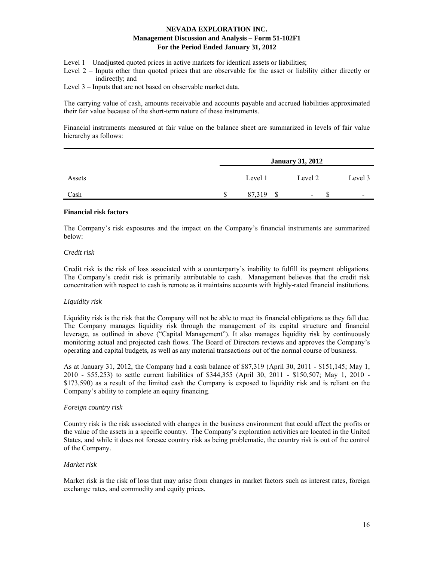- Level 1 Unadjusted quoted prices in active markets for identical assets or liabilities;
- Level 2 Inputs other than quoted prices that are observable for the asset or liability either directly or indirectly; and
- Level 3 Inputs that are not based on observable market data.

The carrying value of cash, amounts receivable and accounts payable and accrued liabilities approximated their fair value because of the short-term nature of these instruments.

Financial instruments measured at fair value on the balance sheet are summarized in levels of fair value hierarchy as follows:

|        | <b>January 31, 2012</b> |         |                          |  |
|--------|-------------------------|---------|--------------------------|--|
| Assets | Level 1                 | Level 2 | Level 3                  |  |
| Cash   | 87,319                  | -       | $\overline{\phantom{0}}$ |  |

#### **Financial risk factors**

The Company's risk exposures and the impact on the Company's financial instruments are summarized below:

#### *Credit risk*

Credit risk is the risk of loss associated with a counterparty's inability to fulfill its payment obligations. The Company's credit risk is primarily attributable to cash. Management believes that the credit risk concentration with respect to cash is remote as it maintains accounts with highly-rated financial institutions.

## *Liquidity risk*

Liquidity risk is the risk that the Company will not be able to meet its financial obligations as they fall due. The Company manages liquidity risk through the management of its capital structure and financial leverage, as outlined in above ("Capital Management"). It also manages liquidity risk by continuously monitoring actual and projected cash flows. The Board of Directors reviews and approves the Company's operating and capital budgets, as well as any material transactions out of the normal course of business.

As at January 31, 2012, the Company had a cash balance of \$87,319 (April 30, 2011 - \$151,145; May 1, 2010 - \$55,253) to settle current liabilities of \$344,355 (April 30, 2011 - \$150,507; May 1, 2010 - \$173,590) as a result of the limited cash the Company is exposed to liquidity risk and is reliant on the Company's ability to complete an equity financing.

#### *Foreign country risk*

Country risk is the risk associated with changes in the business environment that could affect the profits or the value of the assets in a specific country. The Company's exploration activities are located in the United States, and while it does not foresee country risk as being problematic, the country risk is out of the control of the Company.

#### *Market risk*

Market risk is the risk of loss that may arise from changes in market factors such as interest rates, foreign exchange rates, and commodity and equity prices.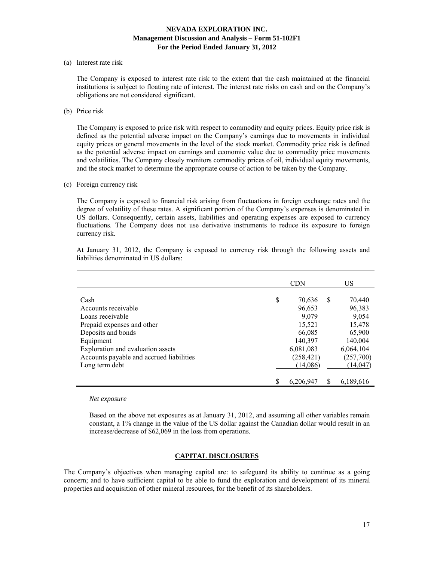#### (a) Interest rate risk

 The Company is exposed to interest rate risk to the extent that the cash maintained at the financial institutions is subject to floating rate of interest. The interest rate risks on cash and on the Company's obligations are not considered significant.

(b) Price risk

 The Company is exposed to price risk with respect to commodity and equity prices. Equity price risk is defined as the potential adverse impact on the Company's earnings due to movements in individual equity prices or general movements in the level of the stock market. Commodity price risk is defined as the potential adverse impact on earnings and economic value due to commodity price movements and volatilities. The Company closely monitors commodity prices of oil, individual equity movements, and the stock market to determine the appropriate course of action to be taken by the Company.

#### (c) Foreign currency risk

 The Company is exposed to financial risk arising from fluctuations in foreign exchange rates and the degree of volatility of these rates. A significant portion of the Company's expenses is denominated in US dollars. Consequently, certain assets, liabilities and operating expenses are exposed to currency fluctuations. The Company does not use derivative instruments to reduce its exposure to foreign currency risk.

At January 31, 2012, the Company is exposed to currency risk through the following assets and liabilities denominated in US dollars:

|                                          | <b>CDN</b>      |   | US        |
|------------------------------------------|-----------------|---|-----------|
|                                          |                 |   |           |
| Cash                                     | \$<br>70,636    | S | 70,440    |
| Accounts receivable                      | 96,653          |   | 96,383    |
| Loans receivable                         | 9,079           |   | 9,054     |
| Prepaid expenses and other               | 15,521          |   | 15,478    |
| Deposits and bonds                       | 66,085          |   | 65,900    |
| Equipment                                | 140,397         |   | 140,004   |
| Exploration and evaluation assets        | 6,081,083       |   | 6,064,104 |
| Accounts payable and accrued liabilities | (258, 421)      |   | (257,700) |
| Long term debt                           | (14,086)        |   | (14, 047) |
|                                          |                 |   |           |
|                                          | \$<br>6,206,947 |   | 6,189,616 |

#### *Net exposure*

Based on the above net exposures as at January 31, 2012, and assuming all other variables remain constant, a 1% change in the value of the US dollar against the Canadian dollar would result in an increase/decrease of \$62,069 in the loss from operations.

## **CAPITAL DISCLOSURES**

The Company's objectives when managing capital are: to safeguard its ability to continue as a going concern; and to have sufficient capital to be able to fund the exploration and development of its mineral properties and acquisition of other mineral resources, for the benefit of its shareholders.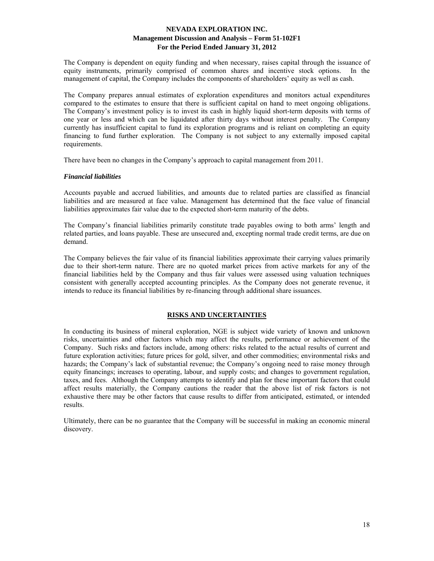The Company is dependent on equity funding and when necessary, raises capital through the issuance of equity instruments, primarily comprised of common shares and incentive stock options. In the management of capital, the Company includes the components of shareholders' equity as well as cash.

The Company prepares annual estimates of exploration expenditures and monitors actual expenditures compared to the estimates to ensure that there is sufficient capital on hand to meet ongoing obligations. The Company's investment policy is to invest its cash in highly liquid short-term deposits with terms of one year or less and which can be liquidated after thirty days without interest penalty. The Company currently has insufficient capital to fund its exploration programs and is reliant on completing an equity financing to fund further exploration. The Company is not subject to any externally imposed capital requirements.

There have been no changes in the Company's approach to capital management from 2011.

#### *Financial liabilities*

Accounts payable and accrued liabilities, and amounts due to related parties are classified as financial liabilities and are measured at face value. Management has determined that the face value of financial liabilities approximates fair value due to the expected short-term maturity of the debts.

The Company's financial liabilities primarily constitute trade payables owing to both arms' length and related parties, and loans payable. These are unsecured and, excepting normal trade credit terms, are due on demand.

The Company believes the fair value of its financial liabilities approximate their carrying values primarily due to their short-term nature. There are no quoted market prices from active markets for any of the financial liabilities held by the Company and thus fair values were assessed using valuation techniques consistent with generally accepted accounting principles. As the Company does not generate revenue, it intends to reduce its financial liabilities by re-financing through additional share issuances.

# **RISKS AND UNCERTAINTIES**

In conducting its business of mineral exploration, NGE is subject wide variety of known and unknown risks, uncertainties and other factors which may affect the results, performance or achievement of the Company. Such risks and factors include, among others: risks related to the actual results of current and future exploration activities; future prices for gold, silver, and other commodities; environmental risks and hazards; the Company's lack of substantial revenue; the Company's ongoing need to raise money through equity financings; increases to operating, labour, and supply costs; and changes to government regulation, taxes, and fees. Although the Company attempts to identify and plan for these important factors that could affect results materially, the Company cautions the reader that the above list of risk factors is not exhaustive there may be other factors that cause results to differ from anticipated, estimated, or intended results.

Ultimately, there can be no guarantee that the Company will be successful in making an economic mineral discovery.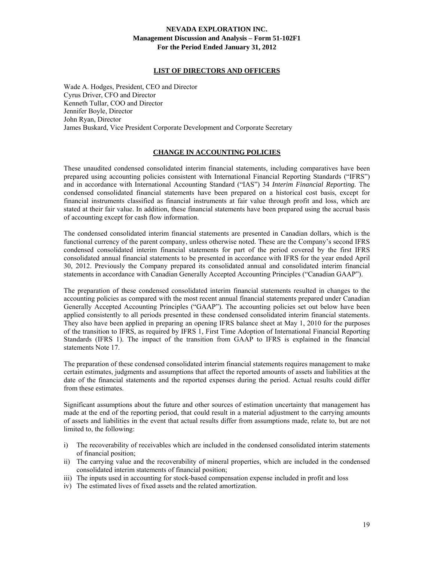#### **LIST OF DIRECTORS AND OFFICERS**

Wade A. Hodges, President, CEO and Director Cyrus Driver, CFO and Director Kenneth Tullar, COO and Director Jennifer Boyle, Director John Ryan, Director James Buskard, Vice President Corporate Development and Corporate Secretary

# **CHANGE IN ACCOUNTING POLICIES**

These unaudited condensed consolidated interim financial statements, including comparatives have been prepared using accounting policies consistent with International Financial Reporting Standards ("IFRS") and in accordance with International Accounting Standard ("IAS") 34 *Interim Financial Reporting.* The condensed consolidated financial statements have been prepared on a historical cost basis, except for financial instruments classified as financial instruments at fair value through profit and loss, which are stated at their fair value. In addition, these financial statements have been prepared using the accrual basis of accounting except for cash flow information.

The condensed consolidated interim financial statements are presented in Canadian dollars, which is the functional currency of the parent company, unless otherwise noted. These are the Company's second IFRS condensed consolidated interim financial statements for part of the period covered by the first IFRS consolidated annual financial statements to be presented in accordance with IFRS for the year ended April 30, 2012. Previously the Company prepared its consolidated annual and consolidated interim financial statements in accordance with Canadian Generally Accepted Accounting Principles ("Canadian GAAP").

The preparation of these condensed consolidated interim financial statements resulted in changes to the accounting policies as compared with the most recent annual financial statements prepared under Canadian Generally Accepted Accounting Principles ("GAAP"). The accounting policies set out below have been applied consistently to all periods presented in these condensed consolidated interim financial statements. They also have been applied in preparing an opening IFRS balance sheet at May 1, 2010 for the purposes of the transition to IFRS, as required by IFRS 1, First Time Adoption of International Financial Reporting Standards (IFRS 1). The impact of the transition from GAAP to IFRS is explained in the financial statements Note 17.

The preparation of these condensed consolidated interim financial statements requires management to make certain estimates, judgments and assumptions that affect the reported amounts of assets and liabilities at the date of the financial statements and the reported expenses during the period. Actual results could differ from these estimates.

Significant assumptions about the future and other sources of estimation uncertainty that management has made at the end of the reporting period, that could result in a material adjustment to the carrying amounts of assets and liabilities in the event that actual results differ from assumptions made, relate to, but are not limited to, the following:

- i) The recoverability of receivables which are included in the condensed consolidated interim statements of financial position;
- ii) The carrying value and the recoverability of mineral properties, which are included in the condensed consolidated interim statements of financial position;
- iii) The inputs used in accounting for stock-based compensation expense included in profit and loss
- iv) The estimated lives of fixed assets and the related amortization.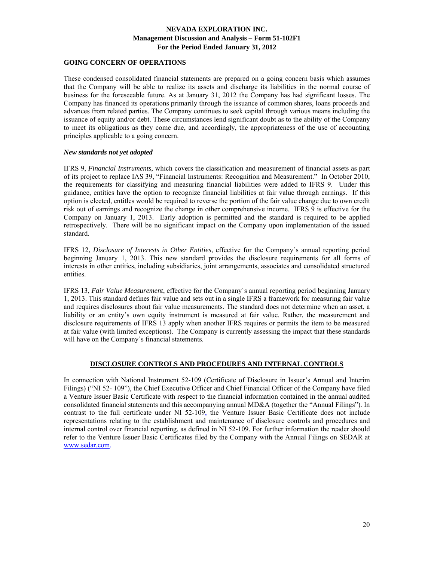# **GOING CONCERN OF OPERATIONS**

These condensed consolidated financial statements are prepared on a going concern basis which assumes that the Company will be able to realize its assets and discharge its liabilities in the normal course of business for the foreseeable future. As at January 31, 2012 the Company has had significant losses. The Company has financed its operations primarily through the issuance of common shares, loans proceeds and advances from related parties. The Company continues to seek capital through various means including the issuance of equity and/or debt. These circumstances lend significant doubt as to the ability of the Company to meet its obligations as they come due, and accordingly, the appropriateness of the use of accounting principles applicable to a going concern.

## *New standards not yet adopted*

IFRS 9, *Financial Instruments*, which covers the classification and measurement of financial assets as part of its project to replace IAS 39, "Financial Instruments: Recognition and Measurement." In October 2010, the requirements for classifying and measuring financial liabilities were added to IFRS 9. Under this guidance, entities have the option to recognize financial liabilities at fair value through earnings. If this option is elected, entitles would be required to reverse the portion of the fair value change due to own credit risk out of earnings and recognize the change in other comprehensive income. IFRS 9 is effective for the Company on January 1, 2013. Early adoption is permitted and the standard is required to be applied retrospectively. There will be no significant impact on the Company upon implementation of the issued standard.

IFRS 12, *Disclosure of Interests in Other Entities*, effective for the Company`s annual reporting period beginning January 1, 2013. This new standard provides the disclosure requirements for all forms of interests in other entities, including subsidiaries, joint arrangements, associates and consolidated structured entities.

IFRS 13, *Fair Value Measurement*, effective for the Company`s annual reporting period beginning January 1, 2013. This standard defines fair value and sets out in a single IFRS a framework for measuring fair value and requires disclosures about fair value measurements. The standard does not determine when an asset, a liability or an entity's own equity instrument is measured at fair value. Rather, the measurement and disclosure requirements of IFRS 13 apply when another IFRS requires or permits the item to be measured at fair value (with limited exceptions). The Company is currently assessing the impact that these standards will have on the Company`s financial statements.

# **DISCLOSURE CONTROLS AND PROCEDURES AND INTERNAL CONTROLS**

In connection with National Instrument 52-109 (Certificate of Disclosure in Issuer's Annual and Interim Filings) ("NI 52- 109"), the Chief Executive Officer and Chief Financial Officer of the Company have filed a Venture Issuer Basic Certificate with respect to the financial information contained in the annual audited consolidated financial statements and this accompanying annual MD&A (together the "Annual Filings"). In contrast to the full certificate under NI 52-109, the Venture Issuer Basic Certificate does not include representations relating to the establishment and maintenance of disclosure controls and procedures and internal control over financial reporting, as defined in NI 52-109. For further information the reader should refer to the Venture Issuer Basic Certificates filed by the Company with the Annual Filings on SEDAR at www.sedar.com.